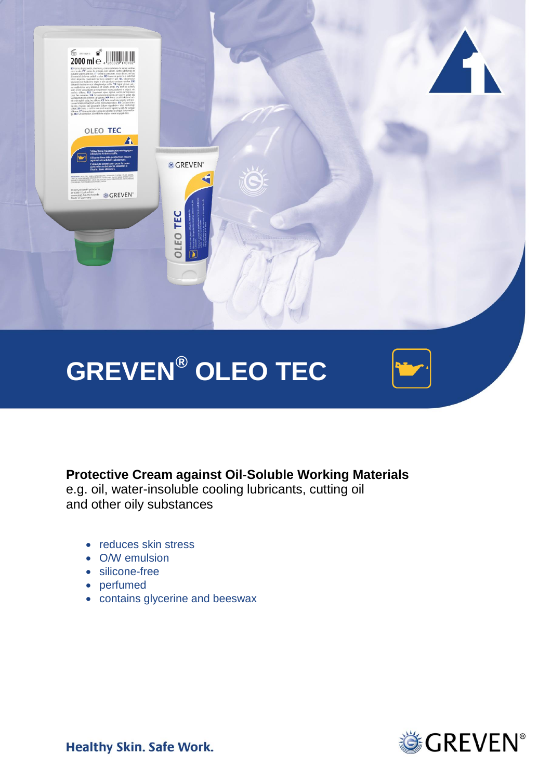

# **Protective Cream against Oil-Soluble Working Materials**

e.g. oil, water-insoluble cooling lubricants, cutting oil and other oily substances

- reduces skin stress
- O/W emulsion
- silicone-free
- perfumed
- contains glycerine and beeswax



**Healthy Skin. Safe Work.**